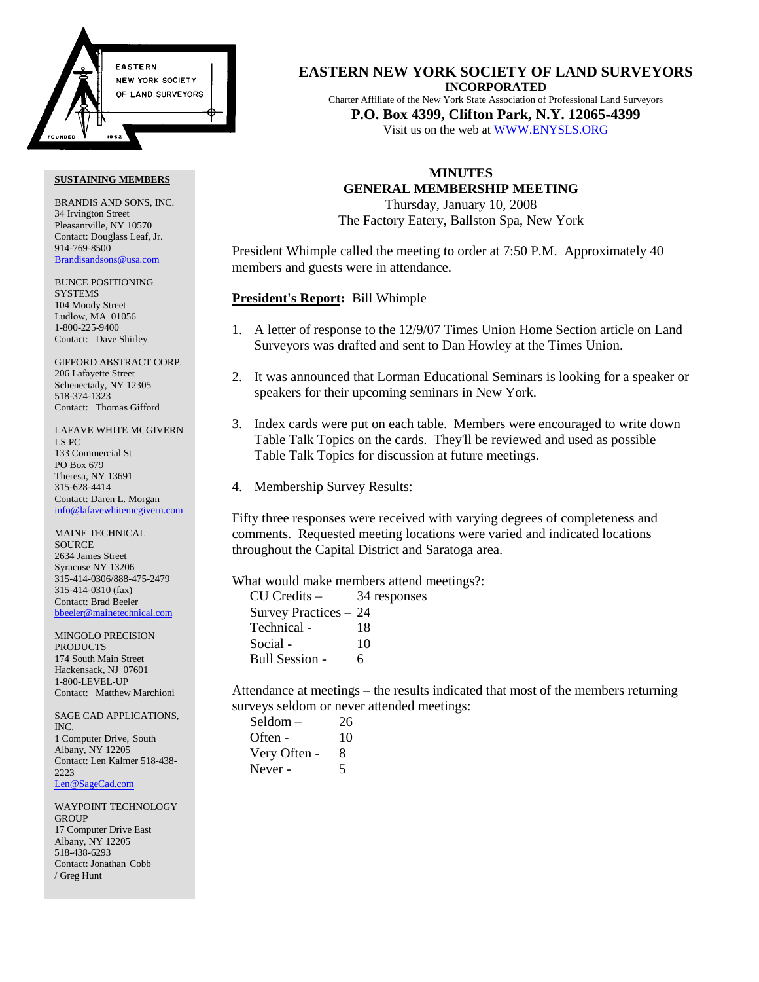

#### **SUSTAINING MEMBERS**

BRANDIS AND SONS, INC. 34 Irvington Street Pleasantville, NY 10570 Contact: Douglass Leaf, Jr. 914-769-8500 Brandisandsons@usa.com

BUNCE POSITIONING **SYSTEMS** 104 Moody Street Ludlow, MA 01056 1-800-225-9400 Contact: Dave Shirley

GIFFORD ABSTRACT CORP. 206 Lafayette Street Schenectady, NY 12305 518-374-1323 Contact: Thomas Gifford

LAFAVE WHITE MCGIVERN LS PC 133 Commercial St PO Box 679 Theresa, NY 13691 315-628-4414 Contact: Daren L. Morgan info@lafavewhitemcgivern.com

MAINE TECHNICAL **SOURCE** 2634 James Street Syracuse NY 13206 315-414-0306/888-475-2479 315-414-0310 (fax) Contact: Brad Beeler bbeeler@mainetechnical.com

MINGOLO PRECISION PRODUCTS 174 South Main Street Hackensack, NJ 07601 1-800-LEVEL-UP Contact: Matthew Marchioni

SAGE CAD APPLICATIONS, INC. 1 Computer Drive, South Albany, NY 12205 Contact: Len Kalmer 518-438- 2223 Len@SageCad.com

WAYPOINT TECHNOLOGY **GROUP** 17 Computer Drive East Albany, NY 12205 518-438-6293 Contact: Jonathan Cobb / Greg Hunt

**EASTERN NEW YORK SOCIETY OF LAND SURVEYORS INCORPORATED**

Charter Affiliate of the New York State Association of Professional Land Surveyors **P.O. Box 4399, Clifton Park, N.Y. 12065-4399**

Visit us on the web at WWW.ENYSLS.ORG

## **MINUTES**

**GENERAL MEMBERSHIP MEETING**

Thursday, January 10, 2008 The Factory Eatery, Ballston Spa, New York

President Whimple called the meeting to order at 7:50 P.M. Approximately 40 members and guests were in attendance.

**President's Report:** Bill Whimple

- 1. A letter of response to the 12/9/07 Times Union Home Section article on Land Surveyors was drafted and sent to Dan Howley at the Times Union.
- 2. It was announced that Lorman Educational Seminars is looking for a speaker or speakers for their upcoming seminars in New York.
- 3. Index cards were put on each table. Members were encouraged to write down Table Talk Topics on the cards. They'll be reviewed and used as possible Table Talk Topics for discussion at future meetings.
- 4. Membership Survey Results:

Fifty three responses were received with varying degrees of completeness and comments. Requested meeting locations were varied and indicated locations throughout the Capital District and Saratoga area.

What would make members attend meetings?:

| $CU$ Credits $-$      | 34 responses |
|-----------------------|--------------|
| Survey Practices – 24 |              |
| Technical -           | 18           |
| Social -              | 10           |
| Bull Session -        | 6            |

Attendance at meetings – the results indicated that most of the members returning surveys seldom or never attended meetings:

| Seldom –     | 26 |
|--------------|----|
| Often -      | 10 |
| Very Often - | 8  |
| Never -      | 5  |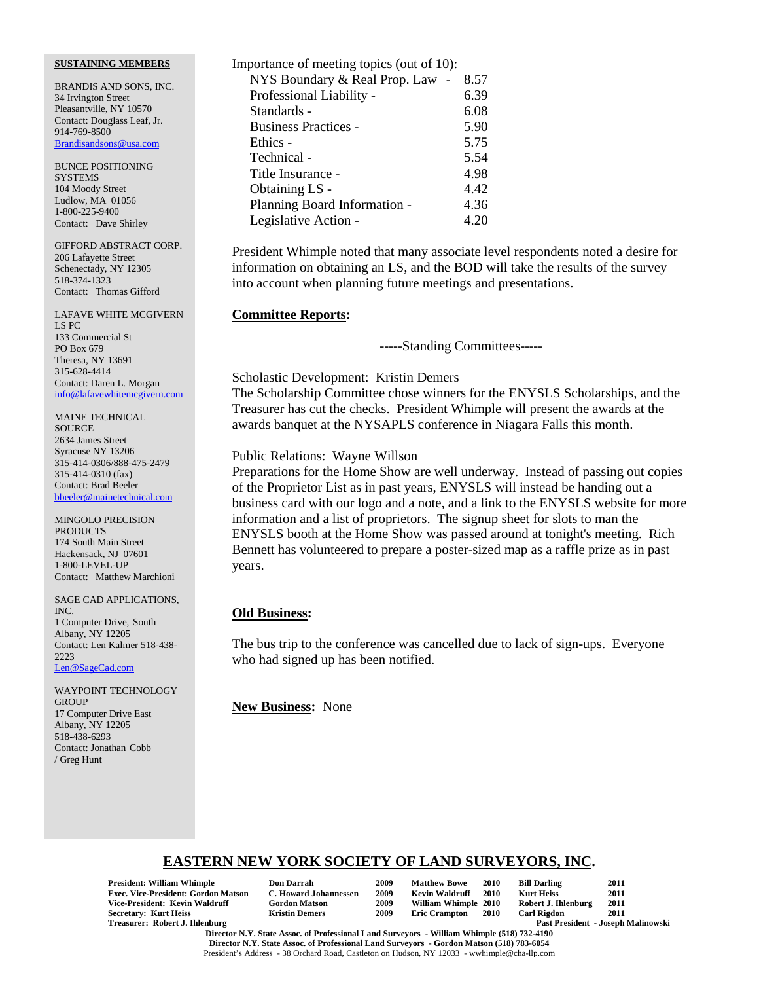### **SUSTAINING MEMBERS**

BRANDIS AND SONS, INC. 34 Irvington Street Pleasantville, NY 10570 Contact: Douglass Leaf, Jr. 914-769-8500 Brandisandsons@usa.com

BUNCE POSITIONING **SYSTEMS** 104 Moody Street Ludlow, MA 01056 1-800-225-9400 Contact: Dave Shirley

GIFFORD ABSTRACT CORP. 206 Lafayette Street Schenectady, NY 12305 518-374-1323 Contact: Thomas Gifford

LAFAVE WHITE MCGIVERN LS PC 133 Commercial St PO Box 679 Theresa, NY 13691 315-628-4414 Contact: Daren L. Morgan info@lafavewhitemcgivern.com

MAINE TECHNICAL **SOURCE** 2634 James Street Syracuse NY 13206 315-414-0306/888-475-2479 315-414-0310 (fax) Contact: Brad Beeler bbeeler@mainetechnical.com

MINGOLO PRECISION **PRODUCTS** 174 South Main Street Hackensack, NJ 07601 1-800-LEVEL-UP Contact: Matthew Marchioni

SAGE CAD APPLICATIONS, INC. 1 Computer Drive, South Albany, NY 12205 Contact: Len Kalmer 518-438- 2223 Len@SageCad.com

WAYPOINT TECHNOLOGY **GROUP** 17 Computer Drive East Albany, NY 12205 518-438-6293 Contact: Jonathan Cobb / Greg Hunt

| Importance of meeting topics (out of 10): |      |
|-------------------------------------------|------|
| NYS Boundary & Real Prop. Law             | 8.57 |
| Professional Liability -                  | 6.39 |
| Standards -                               | 6.08 |
| <b>Business Practices -</b>               | 5.90 |
| Ethics -                                  | 5.75 |
| Technical -                               | 5.54 |
| Title Insurance -                         | 4.98 |
| Obtaining LS -                            | 4.42 |
| Planning Board Information -              | 4.36 |
| Legislative Action -                      | 4.20 |

President Whimple noted that many associate level respondents noted a desire for information on obtaining an LS, and the BOD will take the results of the survey into account when planning future meetings and presentations.

### **Committee Reports:**

-----Standing Committees-----

## Scholastic Development: Kristin Demers

The Scholarship Committee chose winners for the ENYSLS Scholarships, and the Treasurer has cut the checks. President Whimple will present the awards at the awards banquet at the NYSAPLS conference in Niagara Falls this month.

### Public Relations: Wayne Willson

Preparations for the Home Show are well underway. Instead of passing out copies of the Proprietor List as in past years, ENYSLS will instead be handing out a business card with our logo and a note, and a link to the ENYSLS website for more information and a list of proprietors. The signup sheet for slots to man the ENYSLS booth at the Home Show was passed around at tonight's meeting. Rich Bennett has volunteered to prepare a poster-sized map as a raffle prize as in past years.

## **Old Business:**

The bus trip to the conference was cancelled due to lack of sign-ups. Everyone who had signed up has been notified.

**New Business:** None

# **EASTERN NEW YORK SOCIETY OF LAND SURVEYORS, INC.**

**President: William Whimple Don Darrah 2009 Matthew Bowe 2010 Bill Darling 2011 Exec. Vice-President: Gordon Matson C. Howard Johannessen 2009 Kevin Waldruff 2010 Kurt Heiss 2011 Vice-President: Kevin Waldruff Gordon Matson 2009 William Whimple 2010 Robert J. Ihlenburg 2011 Secretary: Kurt Heiss<br>Treasurer: Robert J. Ihlenburg** 

| Don Darrah           |
|----------------------|
| C. Howard Johanness  |
| <b>Gordon Matson</b> |
| Krietin Demere       |

Past President - Joseph Malinowski

**Director N.Y. State Assoc. of Professional Land Surveyors - William Whimple (518) 732-4190 Director N.Y. State Assoc. of Professional Land Surveyors - Gordon Matson (518) 783-6054** President's Address - 38 Orchard Road, Castleton on Hudson, NY 12033 - wwhimple@cha-llp.com